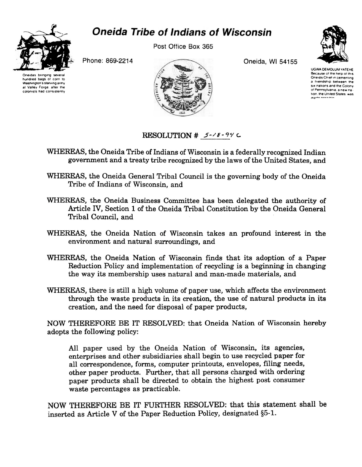

## *Oneida Tribe of Indians of Wisconsin*

Post Office Box 365



Phone: 869-2214

Oneidas bringing several hundred bags of corn to Washington's starving army at Valley Forge, after the colonists had consistently



Oneida, Wl 54155

UGWA DEMOLUM YATEHE Because of the help of this Oneida Chief m cementing a friendship between the SIK nations and the Colony of Pennsylvania, a new nation. the United States was

## **RESOLUTION # 5-18-94 C**

- WHEREAS, the Oneida Tribe of Indians of Wisconsin is a federally recognized Indian government and a treaty tribe recognized by the laws of the United States, and
- WHEREAS, the Oneida General Tribal Council is the governing body of the Oneida Tribe of Indians of Wisconsin, and
- WHEREAS, the Oneida Business Committee has been delegated the authority of Article IV, Section 1 of the Oneida Tribal Constitution by the Oneida General Tribal Council, and
- WHEREAS, the Oneida Nation of Wisconsin takes an profound interest in the environment and natural surroundings, and
- WHEREAS, the Oneida Nation of Wisconsin finds that its adoption of a Paper Reduction Policy and implementation of recycling is a beginning in changing the way its membership uses natural and man-made materials, and
- WHEREAS, there is still a high volume of paper use, which affects the environment through the waste products in its creation, the use of natural products in its creation, and the need for disposal of paper products,

NOW THEREFORE BE IT RESOLVED: that Oneida Nation of Wisconsin hereby adopts the following policy:

All paper used by the Oneida Nation of Wisconsin, its agencies, enterprises and other subsidiaries shall begin to use recycled paper for all correspondence, forms, computer printouts, envelopes, filing needs, other paper products. Further, that all persons charged with ordering paper products shall be directed to obtain the highest post consumer waste percentages as practicable.

NOW THEREFORE BE IT FURTHER RESOLVED: that this statement shall be inserted as Article V of the Paper Reduction Policy, designated §5-1.